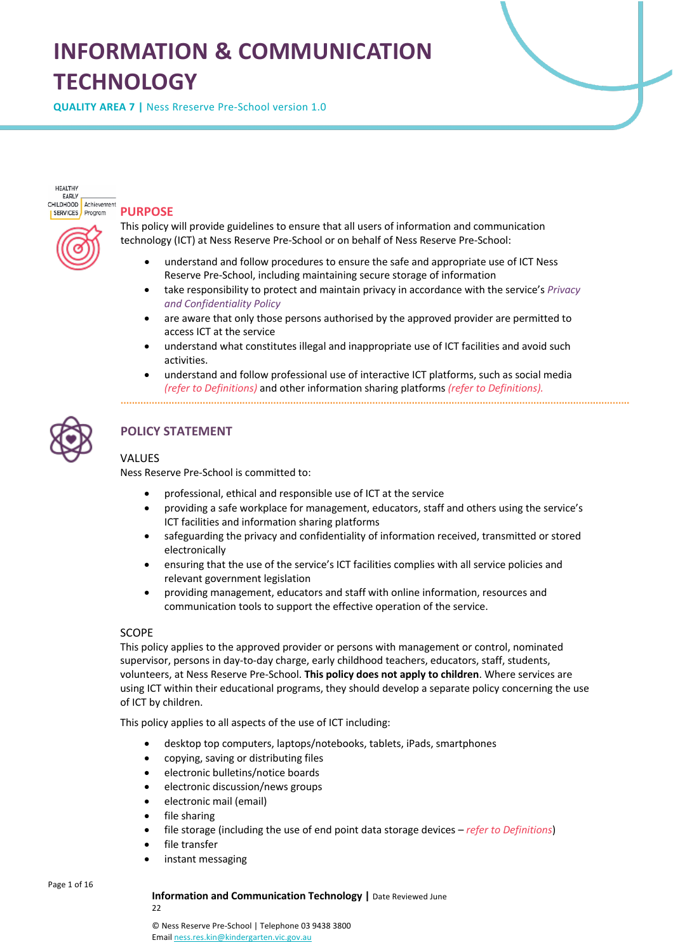# **INFORMATION & COMMUNICATION TECHNOLOGY**

**QUALITY AREA 7 |** Ness Rreserve Pre-School version 1.0

HEALTHY EARLY CHILDHOOD Achievement SERVICES Program

# **PURPOSE**

This policy will provide guidelines to ensure that all users of information and communication technology (ICT) at Ness Reserve Pre-School or on behalf of Ness Reserve Pre-School:

- understand and follow procedures to ensure the safe and appropriate use of ICT Ness Reserve Pre-School, including maintaining secure storage of information
- take responsibility to protect and maintain privacy in accordance with the service's *Privacy and Confidentiality Policy*
- are aware that only those persons authorised by the approved provider are permitted to access ICT at the service
- understand what constitutes illegal and inappropriate use of ICT facilities and avoid such activities.
- understand and follow professional use of interactive ICT platforms, such as social media *(refer to Definitions)* and other information sharing platforms *(refer to Definitions).*



# **POLICY STATEMENT**

## **VALUES**

Ness Reserve Pre-School is committed to:

- professional, ethical and responsible use of ICT at the service
- providing a safe workplace for management, educators, staff and others using the service's ICT facilities and information sharing platforms
- safeguarding the privacy and confidentiality of information received, transmitted or stored electronically
- ensuring that the use of the service's ICT facilities complies with all service policies and relevant government legislation
- providing management, educators and staff with online information, resources and communication tools to support the effective operation of the service.

#### SCOPE

This policy applies to the approved provider or persons with management or control, nominated supervisor, persons in day-to-day charge, early childhood teachers, educators, staff, students, volunteers, at Ness Reserve Pre-School. **This policy does not apply to children**. Where services are using ICT within their educational programs, they should develop a separate policy concerning the use of ICT by children.

This policy applies to all aspects of the use of ICT including:

- desktop top computers, laptops/notebooks, tablets, iPads, smartphones
- copying, saving or distributing files
- electronic bulletins/notice boards
- electronic discussion/news groups
- electronic mail (email)
- file sharing
- file storage (including the use of end point data storage devices *refer to Definitions*)
- file transfer
- instant messaging

#### Page 1 of 16

#### **Information and Communication Technology |** Date Reviewed June

22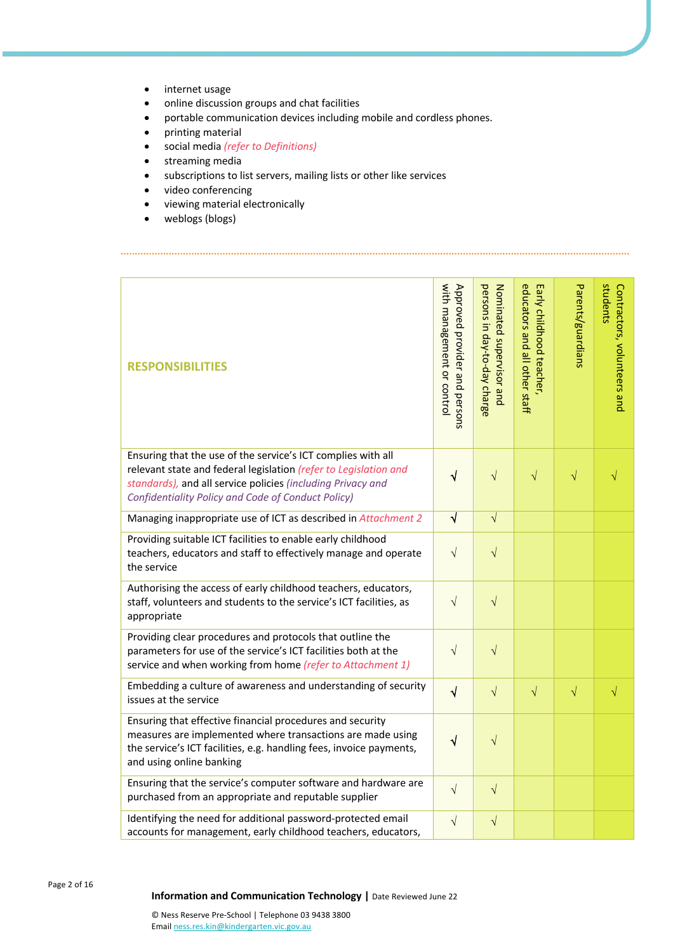- internet usage
- online discussion groups and chat facilities
- portable communication devices including mobile and cordless phones.
- printing material
- social media *(refer to Definitions)*
- streaming media
- subscriptions to list servers, mailing lists or other like services
- video conferencing
- viewing material electronically
- weblogs (blogs)

| <b>RESPONSIBILITIES</b>                                                                                                                                                                                                                               | with management or contro<br>Approved provider and persons | persons in day-to-day charge<br>Nominated supervisor and | educators and all other staff<br>Early childhood teacher, | Parents/guardians | students<br>Contractors, volunteers and |
|-------------------------------------------------------------------------------------------------------------------------------------------------------------------------------------------------------------------------------------------------------|------------------------------------------------------------|----------------------------------------------------------|-----------------------------------------------------------|-------------------|-----------------------------------------|
| Ensuring that the use of the service's ICT complies with all<br>relevant state and federal legislation (refer to Legislation and<br>standards), and all service policies (including Privacy and<br>Confidentiality Policy and Code of Conduct Policy) | $\sqrt{}$                                                  | $\sqrt{ }$                                               | $\sqrt{}$                                                 | $\sqrt{}$         | V                                       |
| Managing inappropriate use of ICT as described in Attachment 2                                                                                                                                                                                        | $\sqrt{ }$                                                 | $\sqrt{}$                                                |                                                           |                   |                                         |
| Providing suitable ICT facilities to enable early childhood<br>teachers, educators and staff to effectively manage and operate<br>the service                                                                                                         | $\sqrt{}$                                                  | $\sqrt{}$                                                |                                                           |                   |                                         |
| Authorising the access of early childhood teachers, educators,<br>staff, volunteers and students to the service's ICT facilities, as<br>appropriate                                                                                                   | $\sqrt{}$                                                  | $\sqrt{ }$                                               |                                                           |                   |                                         |
| Providing clear procedures and protocols that outline the<br>parameters for use of the service's ICT facilities both at the<br>service and when working from home (refer to Attachment 1)                                                             | $\sqrt{}$                                                  | $\sqrt{}$                                                |                                                           |                   |                                         |
| Embedding a culture of awareness and understanding of security<br>issues at the service                                                                                                                                                               | $\sqrt{ }$                                                 | $\sqrt{ }$                                               | $\sqrt{}$                                                 | $\sqrt{}$         | $\sqrt{}$                               |
| Ensuring that effective financial procedures and security<br>measures are implemented where transactions are made using<br>the service's ICT facilities, e.g. handling fees, invoice payments,<br>and using online banking                            | $\sqrt{}$                                                  | $\sqrt{}$                                                |                                                           |                   |                                         |
| Ensuring that the service's computer software and hardware are<br>purchased from an appropriate and reputable supplier                                                                                                                                | $\sqrt{}$                                                  | $\sqrt{ }$                                               |                                                           |                   |                                         |
| Identifying the need for additional password-protected email<br>accounts for management, early childhood teachers, educators,                                                                                                                         | $\sqrt{}$                                                  | $\sqrt{}$                                                |                                                           |                   |                                         |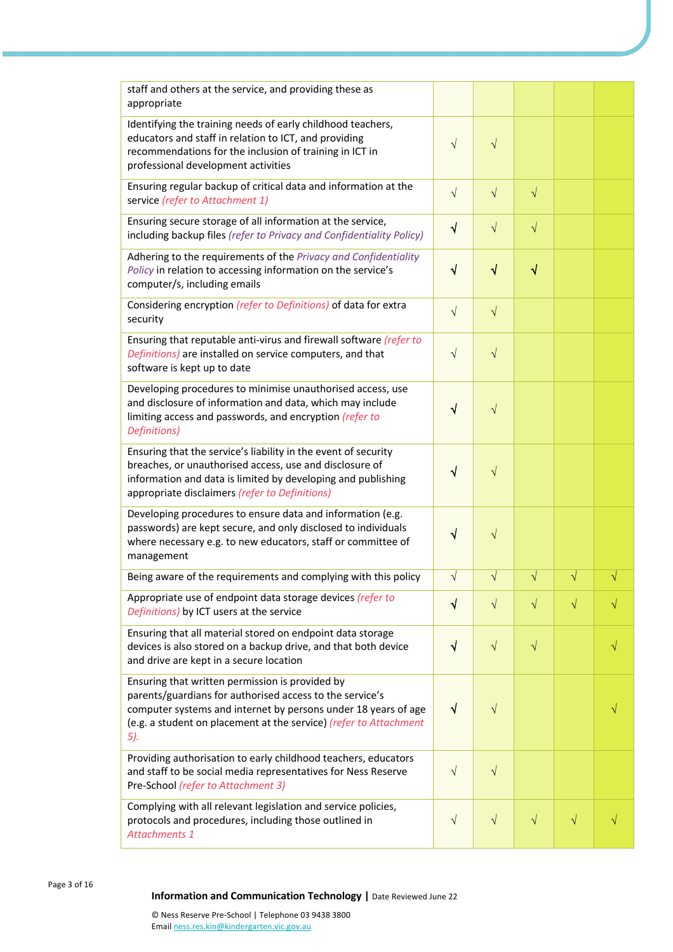| staff and others at the service, and providing these as<br>appropriate                                                                                                                                                                                    |            |           |           |           |           |
|-----------------------------------------------------------------------------------------------------------------------------------------------------------------------------------------------------------------------------------------------------------|------------|-----------|-----------|-----------|-----------|
| Identifying the training needs of early childhood teachers,<br>educators and staff in relation to ICT, and providing<br>recommendations for the inclusion of training in ICT in<br>professional development activities                                    | $\sqrt{}$  | $\sqrt{}$ |           |           |           |
| Ensuring regular backup of critical data and information at the<br>service (refer to Attachment 1)                                                                                                                                                        | $\sqrt{ }$ | $\sqrt{}$ | $\sqrt{}$ |           |           |
| Ensuring secure storage of all information at the service,<br>including backup files (refer to Privacy and Confidentiality Policy)                                                                                                                        | $\sqrt{ }$ | $\sqrt{}$ | $\sqrt{}$ |           |           |
| Adhering to the requirements of the Privacy and Confidentiality<br>Policy in relation to accessing information on the service's<br>computer/s, including emails                                                                                           | $\sqrt{}$  | $\sqrt{}$ | $\sqrt{}$ |           |           |
| Considering encryption (refer to Definitions) of data for extra<br>security                                                                                                                                                                               | $\sqrt{ }$ | $\sqrt{}$ |           |           |           |
| Ensuring that reputable anti-virus and firewall software (refer to<br>Definitions) are installed on service computers, and that<br>software is kept up to date                                                                                            | $\sqrt{}$  | $\sqrt{}$ |           |           |           |
| Developing procedures to minimise unauthorised access, use<br>and disclosure of information and data, which may include<br>limiting access and passwords, and encryption (refer to<br>Definitions)                                                        | $\sqrt{ }$ | $\sqrt{}$ |           |           |           |
| Ensuring that the service's liability in the event of security<br>breaches, or unauthorised access, use and disclosure of<br>information and data is limited by developing and publishing<br>appropriate disclaimers (refer to Definitions)               | $\sqrt{}$  | $\sqrt{}$ |           |           |           |
| Developing procedures to ensure data and information (e.g.<br>passwords) are kept secure, and only disclosed to individuals<br>where necessary e.g. to new educators, staff or committee of<br>management                                                 | V          | $\sqrt{}$ |           |           |           |
| Being aware of the requirements and complying with this policy                                                                                                                                                                                            | $\sqrt{}$  | $\sqrt{}$ | $\sqrt{}$ | $\sqrt{}$ | $\sqrt{}$ |
| Appropriate use of endpoint data storage devices (refer to<br>Definitions) by ICT users at the service                                                                                                                                                    | $\sqrt{}$  | $\sqrt{}$ | $\sqrt{}$ | $\sqrt{}$ |           |
| Ensuring that all material stored on endpoint data storage<br>devices is also stored on a backup drive, and that both device<br>and drive are kept in a secure location                                                                                   | $\sqrt{ }$ | $\sqrt{}$ | $\sqrt{}$ |           |           |
| Ensuring that written permission is provided by<br>parents/guardians for authorised access to the service's<br>computer systems and internet by persons under 18 years of age<br>(e.g. a student on placement at the service) (refer to Attachment<br>5). | $\sqrt{}$  | $\sqrt{}$ |           |           |           |
| Providing authorisation to early childhood teachers, educators<br>and staff to be social media representatives for Ness Reserve<br>Pre-School (refer to Attachment 3)                                                                                     | $\sqrt{}$  | $\sqrt{}$ |           |           |           |
| Complying with all relevant legislation and service policies,<br>protocols and procedures, including those outlined in<br><b>Attachments 1</b>                                                                                                            | $\sqrt{ }$ | $\sqrt{}$ | $\sqrt{}$ | $\sqrt{}$ |           |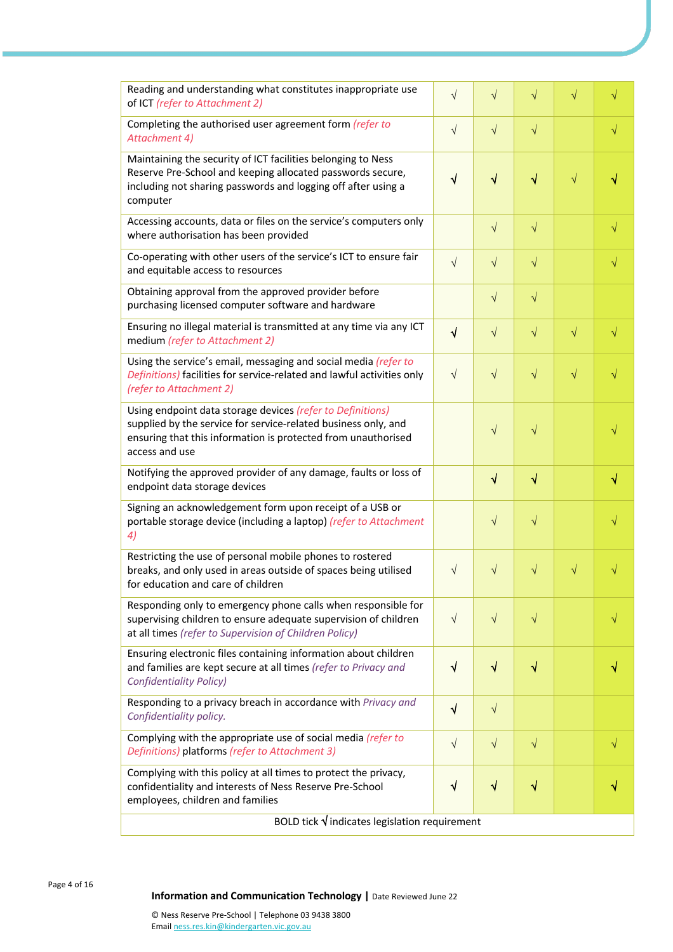| Reading and understanding what constitutes inappropriate use<br>of ICT (refer to Attachment 2)                                                                                                                  | $\sqrt{ }$ | $\sqrt{}$  | $\sqrt{}$ | √         | √         |  |
|-----------------------------------------------------------------------------------------------------------------------------------------------------------------------------------------------------------------|------------|------------|-----------|-----------|-----------|--|
| Completing the authorised user agreement form (refer to<br>Attachment 4)                                                                                                                                        | $\sqrt{}$  | $\sqrt{}$  | $\sqrt{}$ |           | $\sqrt{}$ |  |
| Maintaining the security of ICT facilities belonging to Ness<br>Reserve Pre-School and keeping allocated passwords secure,<br>including not sharing passwords and logging off after using a<br>computer         | $\sqrt{ }$ | $\sqrt{}$  | $\sqrt{}$ | $\sqrt{}$ |           |  |
| Accessing accounts, data or files on the service's computers only<br>where authorisation has been provided                                                                                                      |            | $\sqrt{ }$ | $\sqrt{}$ |           | $\sqrt{}$ |  |
| Co-operating with other users of the service's ICT to ensure fair<br>and equitable access to resources                                                                                                          | $\sqrt{ }$ | $\sqrt{}$  | $\sqrt{}$ |           | $\sqrt{}$ |  |
| Obtaining approval from the approved provider before<br>purchasing licensed computer software and hardware                                                                                                      |            | $\sqrt{ }$ | $\sqrt{}$ |           |           |  |
| Ensuring no illegal material is transmitted at any time via any ICT<br>medium (refer to Attachment 2)                                                                                                           | $\sqrt{ }$ | $\sqrt{ }$ | $\sqrt{}$ | $\sqrt{}$ | $\sqrt{}$ |  |
| Using the service's email, messaging and social media (refer to<br>Definitions) facilities for service-related and lawful activities only<br>(refer to Attachment 2)                                            | $\sqrt{ }$ | $\sqrt{}$  | $\sqrt{}$ | $\sqrt{}$ | V         |  |
| Using endpoint data storage devices (refer to Definitions)<br>supplied by the service for service-related business only, and<br>ensuring that this information is protected from unauthorised<br>access and use |            | $\sqrt{}$  | $\sqrt{}$ |           |           |  |
| Notifying the approved provider of any damage, faults or loss of<br>endpoint data storage devices                                                                                                               |            | $\sqrt{}$  | $\sqrt{}$ |           | $\sqrt{}$ |  |
| Signing an acknowledgement form upon receipt of a USB or<br>portable storage device (including a laptop) (refer to Attachment<br>4)                                                                             |            | $\sqrt{}$  | $\sqrt{}$ |           |           |  |
| Restricting the use of personal mobile phones to rostered<br>breaks, and only used in areas outside of spaces being utilised<br>for education and care of children                                              | $\sqrt{ }$ | $\sqrt{}$  | $\sqrt{}$ | $\sqrt{}$ |           |  |
| Responding only to emergency phone calls when responsible for<br>supervising children to ensure adequate supervision of children<br>at all times (refer to Supervision of Children Policy)                      | $\sqrt{ }$ | $\sqrt{}$  | $\sqrt{}$ |           |           |  |
| Ensuring electronic files containing information about children<br>and families are kept secure at all times (refer to Privacy and<br><b>Confidentiality Policy)</b>                                            | $\sqrt{ }$ | $\sqrt{}$  | $\sqrt{}$ |           |           |  |
| Responding to a privacy breach in accordance with Privacy and<br>Confidentiality policy.                                                                                                                        | $\sqrt{}$  | $\sqrt{}$  |           |           |           |  |
| Complying with the appropriate use of social media (refer to<br>Definitions) platforms (refer to Attachment 3)                                                                                                  | $\sqrt{ }$ | $\sqrt{ }$ | $\sqrt{}$ |           | $\sqrt{}$ |  |
| Complying with this policy at all times to protect the privacy,<br>confidentiality and interests of Ness Reserve Pre-School<br>employees, children and families                                                 | $\sqrt{ }$ | $\sqrt{}$  | $\sqrt{}$ |           |           |  |
| BOLD tick $\sqrt{}$ indicates legislation requirement                                                                                                                                                           |            |            |           |           |           |  |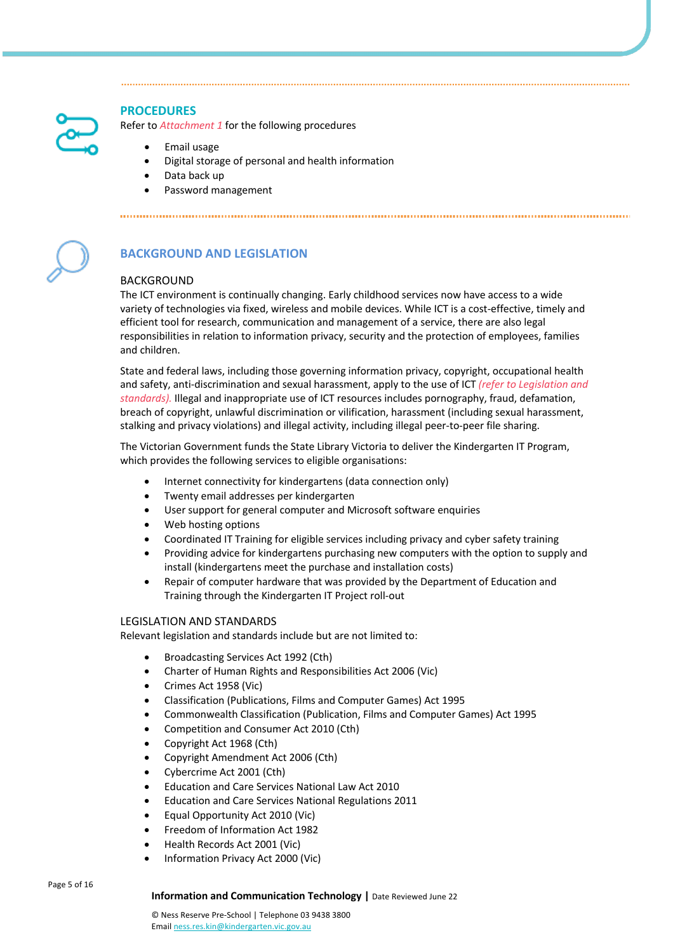

# **PROCEDURES**

Refer to *Attachment 1* for the following procedures

- Email usage
- Digital storage of personal and health information
- Data back up
- Password management



# **BACKGROUND AND LEGISLATION**

# BACKGROUND

The ICT environment is continually changing. Early childhood services now have access to a wide variety of technologies via fixed, wireless and mobile devices. While ICT is a cost-effective, timely and efficient tool for research, communication and management of a service, there are also legal responsibilities in relation to information privacy, security and the protection of employees, families and children.

State and federal laws, including those governing information privacy, copyright, occupational health and safety, anti-discrimination and sexual harassment, apply to the use of ICT *(refer to Legislation and standards).* Illegal and inappropriate use of ICT resources includes pornography, fraud, defamation, breach of copyright, unlawful discrimination or vilification, harassment (including sexual harassment, stalking and privacy violations) and illegal activity, including illegal peer-to-peer file sharing.

The Victorian Government funds the State Library Victoria to deliver the Kindergarten IT Program, which provides the following services to eligible organisations:

- Internet connectivity for kindergartens (data connection only)
- Twenty email addresses per kindergarten
- User support for general computer and Microsoft software enquiries
- Web hosting options
- Coordinated IT Training for eligible services including privacy and cyber safety training
- Providing advice for kindergartens purchasing new computers with the option to supply and install (kindergartens meet the purchase and installation costs)
- Repair of computer hardware that was provided by the Department of Education and Training through the Kindergarten IT Project roll-out

## LEGISLATION AND STANDARDS

Relevant legislation and standards include but are not limited to:

- Broadcasting Services Act 1992 (Cth)
- Charter of Human Rights and Responsibilities Act 2006 (Vic)
- Crimes Act 1958 (Vic)
- Classification (Publications, Films and Computer Games) Act 1995
- Commonwealth Classification (Publication, Films and Computer Games) Act 1995
- Competition and Consumer Act 2010 (Cth)
- Copyright Act 1968 (Cth)
- Copyright Amendment Act 2006 (Cth)
- Cybercrime Act 2001 (Cth)
- Education and Care Services National Law Act 2010
- Education and Care Services National Regulations 2011
- Equal Opportunity Act 2010 (Vic)
- Freedom of Information Act 1982
- Health Records Act 2001 (Vic)
- Information Privacy Act 2000 (Vic)

Page 5 of 16

#### **Information and Communication Technology |** Date Reviewed June 22

© Ness Reserve Pre-School | Telephone 03 9438 3800 Email ness.res.kin@kindergarten.vic.gov.au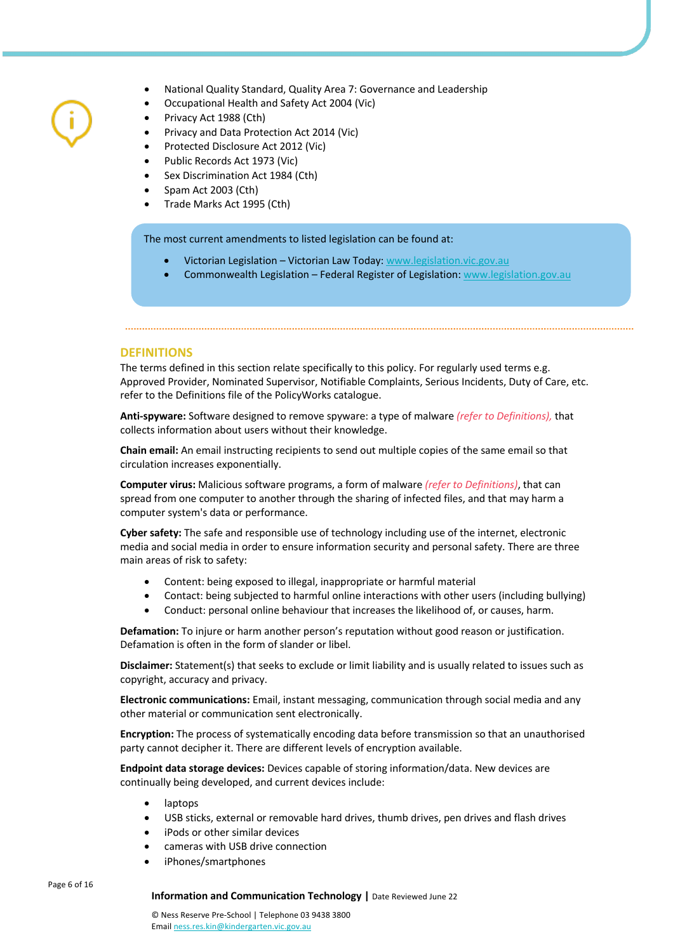- National Quality Standard, Quality Area 7: Governance and Leadership
- Occupational Health and Safety Act 2004 (Vic)
- Privacy Act 1988 (Cth)
- Privacy and Data Protection Act 2014 (Vic)
- Protected Disclosure Act 2012 (Vic)
- Public Records Act 1973 (Vic)
- Sex Discrimination Act 1984 (Cth)
- Spam Act 2003 (Cth)
- Trade Marks Act 1995 (Cth)

The most current amendments to listed legislation can be found at:

- Victorian Legislation Victorian Law Today: www.legislation.vic.gov.au
- Commonwealth Legislation Federal Register of Legislation: www.legislation.gov.au

## **DEFINITIONS**

The terms defined in this section relate specifically to this policy. For regularly used terms e.g. Approved Provider, Nominated Supervisor, Notifiable Complaints, Serious Incidents, Duty of Care, etc. refer to the Definitions file of the PolicyWorks catalogue.

**Anti-spyware:** Software designed to remove spyware: a type of malware *(refer to Definitions),* that collects information about users without their knowledge.

**Chain email:** An email instructing recipients to send out multiple copies of the same email so that circulation increases exponentially.

**Computer virus:** Malicious software programs, a form of malware *(refer to Definitions)*, that can spread from one computer to another through the sharing of infected files, and that may harm a computer system's data or performance.

**Cyber safety:** The safe and responsible use of technology including use of the internet, electronic media and social media in order to ensure information security and personal safety. There are three main areas of risk to safety:

- Content: being exposed to illegal, inappropriate or harmful material
- Contact: being subjected to harmful online interactions with other users (including bullying)
- Conduct: personal online behaviour that increases the likelihood of, or causes, harm.

**Defamation:** To injure or harm another person's reputation without good reason or justification. Defamation is often in the form of slander or libel.

**Disclaimer:** Statement(s) that seeks to exclude or limit liability and is usually related to issues such as copyright, accuracy and privacy.

**Electronic communications:** Email, instant messaging, communication through social media and any other material or communication sent electronically.

**Encryption:** The process of systematically encoding data before transmission so that an unauthorised party cannot decipher it. There are different levels of encryption available.

**Endpoint data storage devices:** Devices capable of storing information/data. New devices are continually being developed, and current devices include:

- laptops
- USB sticks, external or removable hard drives, thumb drives, pen drives and flash drives
- iPods or other similar devices
- cameras with USB drive connection
- iPhones/smartphones

Page 6 of 16

#### **Information and Communication Technology |** Date Reviewed June 22

© Ness Reserve Pre-School | Telephone 03 9438 3800 Email ness.res.kin@kindergarten.vic.gov.au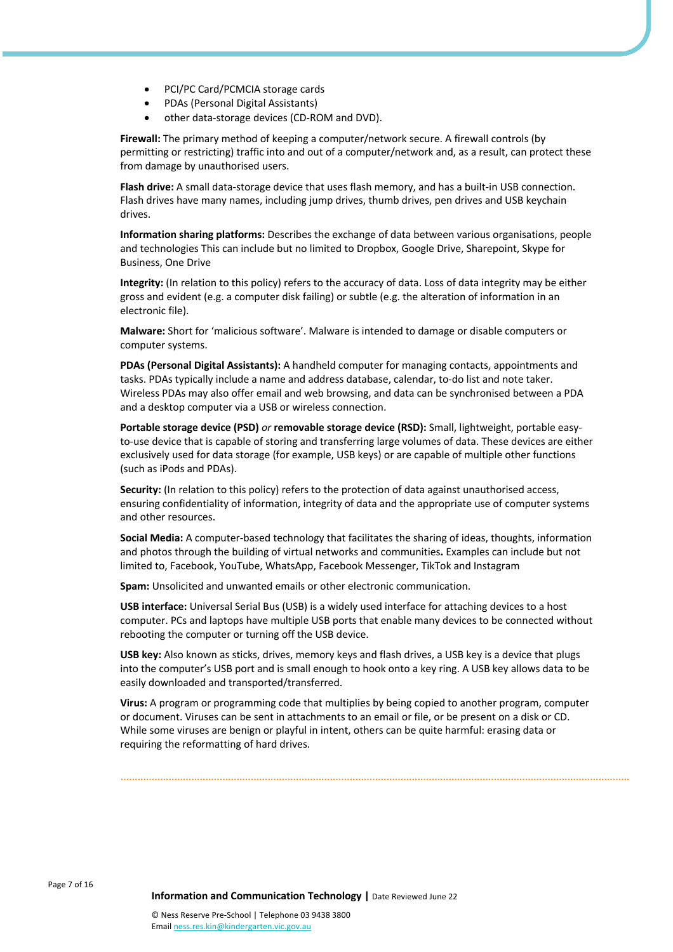- PCI/PC Card/PCMCIA storage cards
- PDAs (Personal Digital Assistants)
- other data-storage devices (CD-ROM and DVD).

**Firewall:** The primary method of keeping a computer/network secure. A firewall controls (by permitting or restricting) traffic into and out of a computer/network and, as a result, can protect these from damage by unauthorised users.

**Flash drive:** A small data-storage device that uses flash memory, and has a built-in USB connection. Flash drives have many names, including jump drives, thumb drives, pen drives and USB keychain drives.

**Information sharing platforms:** Describes the exchange of data between various organisations, people and technologies This can include but no limited to Dropbox, Google Drive, Sharepoint, Skype for Business, One Drive

**Integrity:** (In relation to this policy) refers to the accuracy of data. Loss of data integrity may be either gross and evident (e.g. a computer disk failing) or subtle (e.g. the alteration of information in an electronic file).

**Malware:** Short for 'malicious software'. Malware is intended to damage or disable computers or computer systems.

**PDAs (Personal Digital Assistants):** A handheld computer for managing contacts, appointments and tasks. PDAs typically include a name and address database, calendar, to-do list and note taker. Wireless PDAs may also offer email and web browsing, and data can be synchronised between a PDA and a desktop computer via a USB or wireless connection.

**Portable storage device (PSD)** *or* **removable storage device (RSD):** Small, lightweight, portable easyto-use device that is capable of storing and transferring large volumes of data. These devices are either exclusively used for data storage (for example, USB keys) or are capable of multiple other functions (such as iPods and PDAs).

**Security:** (In relation to this policy) refers to the protection of data against unauthorised access, ensuring confidentiality of information, integrity of data and the appropriate use of computer systems and other resources.

**Social Media:** A computer-based technology that facilitates the sharing of ideas, thoughts, information and photos through the building of virtual networks and communities**.** Examples can include but not limited to, Facebook, YouTube, WhatsApp, Facebook Messenger, TikTok and Instagram

**Spam:** Unsolicited and unwanted emails or other electronic communication.

**USB interface:** Universal Serial Bus (USB) is a widely used interface for attaching devices to a host computer. PCs and laptops have multiple USB ports that enable many devices to be connected without rebooting the computer or turning off the USB device.

**USB key:** Also known as sticks, drives, memory keys and flash drives, a USB key is a device that plugs into the computer's USB port and is small enough to hook onto a key ring. A USB key allows data to be easily downloaded and transported/transferred.

**Virus:** A program or programming code that multiplies by being copied to another program, computer or document. Viruses can be sent in attachments to an email or file, or be present on a disk or CD. While some viruses are benign or playful in intent, others can be quite harmful: erasing data or requiring the reformatting of hard drives.

Page 7 of 16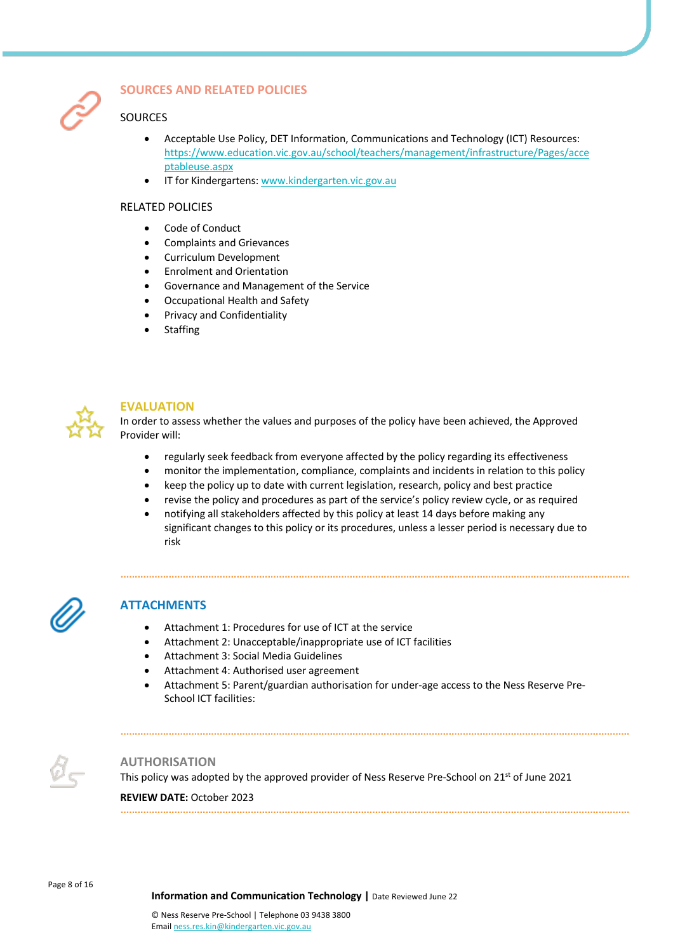

# **SOURCES AND RELATED POLICIES**

# SOURCES

- Acceptable Use Policy, DET Information, Communications and Technology (ICT) Resources: https://www.education.vic.gov.au/school/teachers/management/infrastructure/Pages/acce ptableuse.aspx
- IT for Kindergartens: www.kindergarten.vic.gov.au

#### RELATED POLICIES

- Code of Conduct
- Complaints and Grievances
- Curriculum Development
- Enrolment and Orientation
- Governance and Management of the Service
- Occupational Health and Safety
- Privacy and Confidentiality
- **Staffing**



## **EVALUATION**

In order to assess whether the values and purposes of the policy have been achieved, the Approved Provider will:

- regularly seek feedback from everyone affected by the policy regarding its effectiveness
- monitor the implementation, compliance, complaints and incidents in relation to this policy
- keep the policy up to date with current legislation, research, policy and best practice
- revise the policy and procedures as part of the service's policy review cycle, or as required
- notifying all stakeholders affected by this policy at least 14 days before making any significant changes to this policy or its procedures, unless a lesser period is necessary due to risk



# **ATTACHMENTS**

- Attachment 1: Procedures for use of ICT at the service
- Attachment 2: Unacceptable/inappropriate use of ICT facilities
- Attachment 3: Social Media Guidelines
- Attachment 4: Authorised user agreement
- Attachment 5: Parent/guardian authorisation for under-age access to the Ness Reserve Pre-School ICT facilities:



## **AUTHORISATION**

This policy was adopted by the approved provider of Ness Reserve Pre-School on 21<sup>st</sup> of June 2021

#### **REVIEW DATE:** October 2023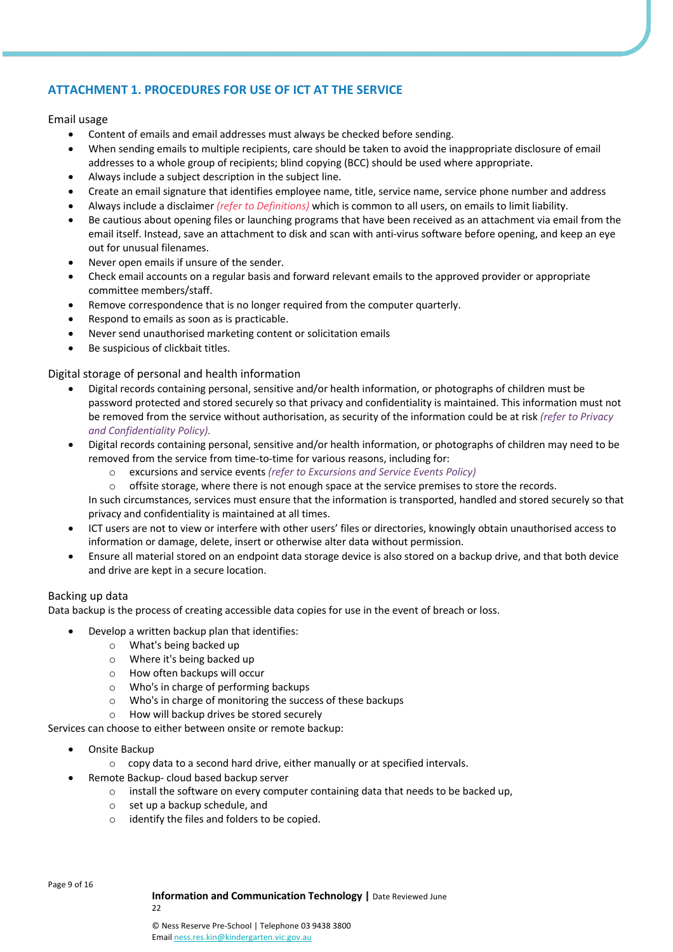# **ATTACHMENT 1. PROCEDURES FOR USE OF ICT AT THE SERVICE**

# Email usage

- Content of emails and email addresses must always be checked before sending.
- When sending emails to multiple recipients, care should be taken to avoid the inappropriate disclosure of email addresses to a whole group of recipients; blind copying (BCC) should be used where appropriate.
- Always include a subject description in the subject line.
- Create an email signature that identifies employee name, title, service name, service phone number and address
- Always include a disclaimer *(refer to Definitions)* which is common to all users, on emails to limit liability.
- Be cautious about opening files or launching programs that have been received as an attachment via email from the email itself. Instead, save an attachment to disk and scan with anti-virus software before opening, and keep an eye out for unusual filenames.
- Never open emails if unsure of the sender.
- Check email accounts on a regular basis and forward relevant emails to the approved provider or appropriate committee members/staff.
- Remove correspondence that is no longer required from the computer quarterly.
- Respond to emails as soon as is practicable.
- Never send unauthorised marketing content or solicitation emails
- Be suspicious of clickbait titles.

# Digital storage of personal and health information

- Digital records containing personal, sensitive and/or health information, or photographs of children must be password protected and stored securely so that privacy and confidentiality is maintained. This information must not be removed from the service without authorisation, as security of the information could be at risk *(refer to Privacy and Confidentiality Policy).*
- Digital records containing personal, sensitive and/or health information, or photographs of children may need to be removed from the service from time-to-time for various reasons, including for:
	- o excursions and service events *(refer to Excursions and Service Events Policy)*
	- o offsite storage, where there is not enough space at the service premises to store the records.

In such circumstances, services must ensure that the information is transported, handled and stored securely so that privacy and confidentiality is maintained at all times.

- ICT users are not to view or interfere with other users' files or directories, knowingly obtain unauthorised access to information or damage, delete, insert or otherwise alter data without permission.
- Ensure all material stored on an endpoint data storage device is also stored on a backup drive, and that both device and drive are kept in a secure location.

## Backing up data

Data backup is the process of creating accessible data copies for use in the event of breach or loss.

- Develop a written backup plan that identifies:
	- o What's being backed up
	- o Where it's being backed up
	- o How often backups will occur
	- o Who's in charge of performing backups
	- o Who's in charge of monitoring the success of these backups
	- o How will backup drives be stored securely

Services can choose to either between onsite or remote backup:

- Onsite Backup
	- o copy data to a second hard drive, either manually or at specified intervals.
- Remote Backup- cloud based backup server
	- o install the software on every computer containing data that needs to be backed up,
	- o set up a backup schedule, and
	- o identify the files and folders to be copied.

Page 9 of 16

#### **Information and Communication Technology |** Date Reviewed June

22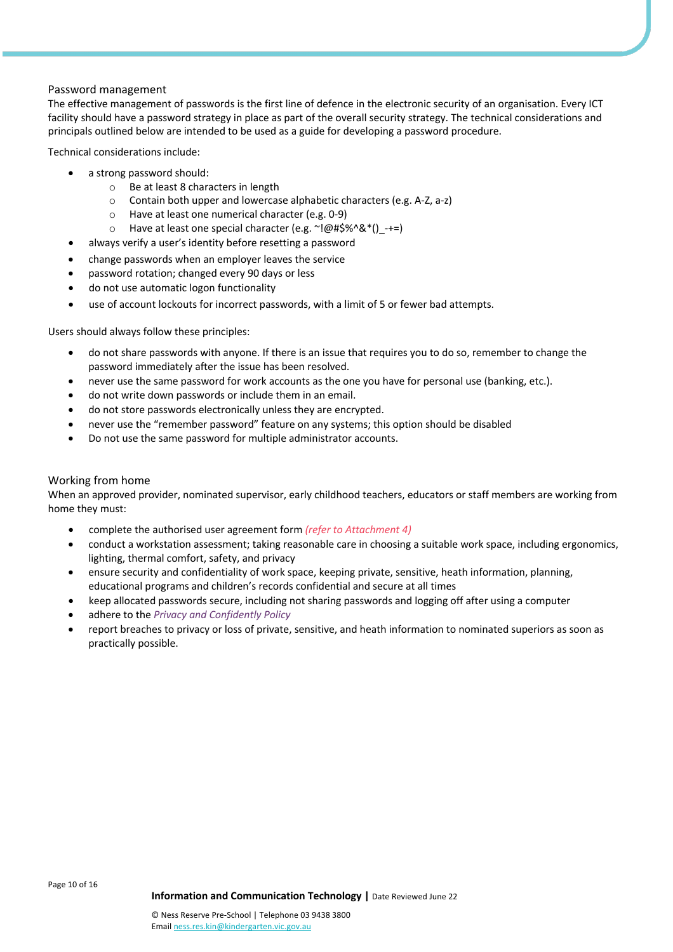# Password management

The effective management of passwords is the first line of defence in the electronic security of an organisation. Every ICT facility should have a password strategy in place as part of the overall security strategy. The technical considerations and principals outlined below are intended to be used as a guide for developing a password procedure.

Technical considerations include:

- a strong password should:
	- o Be at least 8 characters in length
	- o Contain both upper and lowercase alphabetic characters (e.g. A-Z, a-z)
	- o Have at least one numerical character (e.g. 0-9)
	- o Have at least one special character (e.g. ~!@#\$%^&\*()\_-+=)
- always verify a user's identity before resetting a password
- change passwords when an employer leaves the service
- password rotation; changed every 90 days or less
- do not use automatic logon functionality
- use of account lockouts for incorrect passwords, with a limit of 5 or fewer bad attempts.

Users should always follow these principles:

- do not share passwords with anyone. If there is an issue that requires you to do so, remember to change the password immediately after the issue has been resolved.
- never use the same password for work accounts as the one you have for personal use (banking, etc.).
- do not write down passwords or include them in an email.
- do not store passwords electronically unless they are encrypted.
- never use the "remember password" feature on any systems; this option should be disabled
- Do not use the same password for multiple administrator accounts.

# Working from home

When an approved provider, nominated supervisor, early childhood teachers, educators or staff members are working from home they must:

- complete the authorised user agreement form *(refer to Attachment 4)*
- conduct a workstation assessment; taking reasonable care in choosing a suitable work space, including ergonomics, lighting, thermal comfort, safety, and privacy
- ensure security and confidentiality of work space, keeping private, sensitive, heath information, planning, educational programs and children's records confidential and secure at all times
- keep allocated passwords secure, including not sharing passwords and logging off after using a computer
- adhere to the *Privacy and Confidently Policy*
- report breaches to privacy or loss of private, sensitive, and heath information to nominated superiors as soon as practically possible.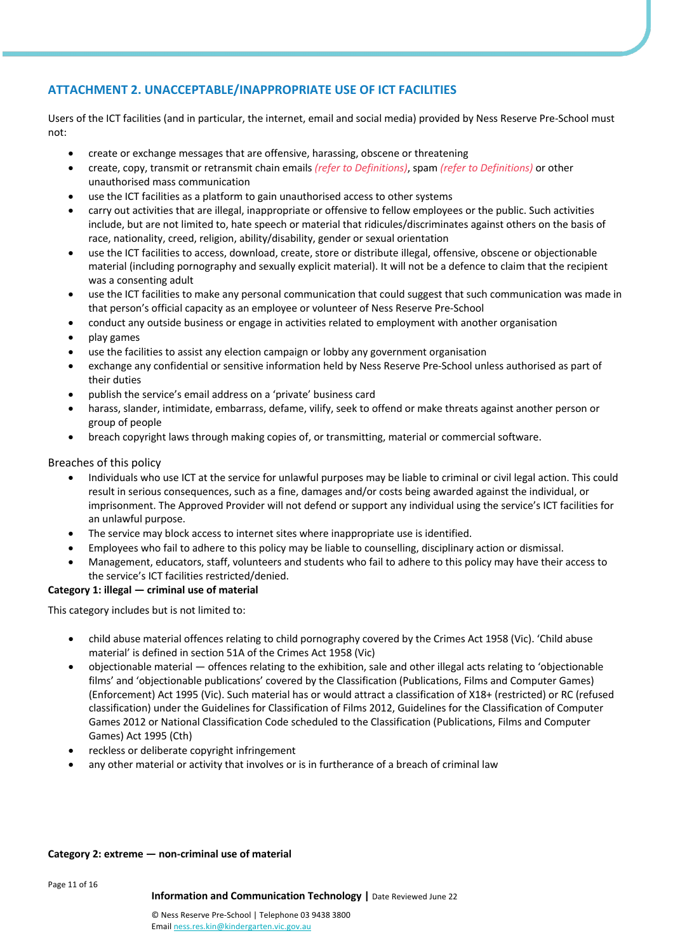# **ATTACHMENT 2. UNACCEPTABLE/INAPPROPRIATE USE OF ICT FACILITIES**

Users of the ICT facilities (and in particular, the internet, email and social media) provided by Ness Reserve Pre-School must not:

- create or exchange messages that are offensive, harassing, obscene or threatening
- create, copy, transmit or retransmit chain emails *(refer to Definitions)*, spam *(refer to Definitions)* or other unauthorised mass communication
- use the ICT facilities as a platform to gain unauthorised access to other systems
- carry out activities that are illegal, inappropriate or offensive to fellow employees or the public. Such activities include, but are not limited to, hate speech or material that ridicules/discriminates against others on the basis of race, nationality, creed, religion, ability/disability, gender or sexual orientation
- use the ICT facilities to access, download, create, store or distribute illegal, offensive, obscene or objectionable material (including pornography and sexually explicit material). It will not be a defence to claim that the recipient was a consenting adult
- use the ICT facilities to make any personal communication that could suggest that such communication was made in that person's official capacity as an employee or volunteer of Ness Reserve Pre-School
- conduct any outside business or engage in activities related to employment with another organisation
- play games
- use the facilities to assist any election campaign or lobby any government organisation
- exchange any confidential or sensitive information held by Ness Reserve Pre-School unless authorised as part of their duties
- publish the service's email address on a 'private' business card
- harass, slander, intimidate, embarrass, defame, vilify, seek to offend or make threats against another person or group of people
- breach copyright laws through making copies of, or transmitting, material or commercial software.

# Breaches of this policy

- Individuals who use ICT at the service for unlawful purposes may be liable to criminal or civil legal action. This could result in serious consequences, such as a fine, damages and/or costs being awarded against the individual, or imprisonment. The Approved Provider will not defend or support any individual using the service's ICT facilities for an unlawful purpose.
- The service may block access to internet sites where inappropriate use is identified.
- Employees who fail to adhere to this policy may be liable to counselling, disciplinary action or dismissal.
- Management, educators, staff, volunteers and students who fail to adhere to this policy may have their access to the service's ICT facilities restricted/denied.

## **Category 1: illegal — criminal use of material**

This category includes but is not limited to:

- child abuse material offences relating to child pornography covered by the Crimes Act 1958 (Vic). 'Child abuse material' is defined in section 51A of the Crimes Act 1958 (Vic)
- objectionable material offences relating to the exhibition, sale and other illegal acts relating to 'objectionable films' and 'objectionable publications' covered by the Classification (Publications, Films and Computer Games) (Enforcement) Act 1995 (Vic). Such material has or would attract a classification of X18+ (restricted) or RC (refused classification) under the Guidelines for Classification of Films 2012, Guidelines for the Classification of Computer Games 2012 or National Classification Code scheduled to the Classification (Publications, Films and Computer Games) Act 1995 (Cth)
- reckless or deliberate copyright infringement
- any other material or activity that involves or is in furtherance of a breach of criminal law

# **Category 2: extreme — non-criminal use of material**

Page 11 of 16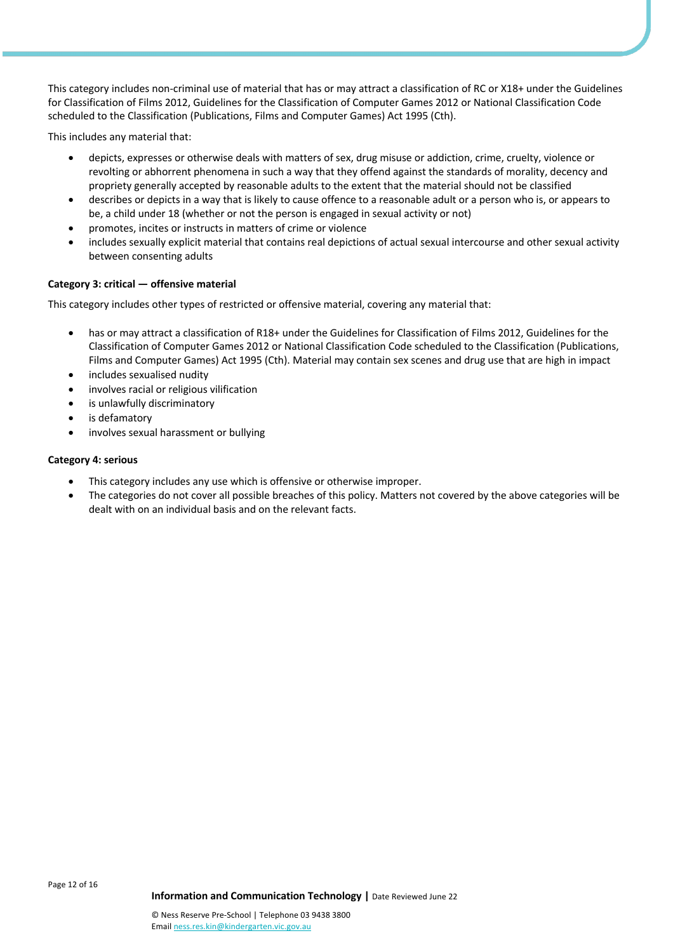This category includes non-criminal use of material that has or may attract a classification of RC or X18+ under the Guidelines for Classification of Films 2012, Guidelines for the Classification of Computer Games 2012 or National Classification Code scheduled to the Classification (Publications, Films and Computer Games) Act 1995 (Cth).

This includes any material that:

- depicts, expresses or otherwise deals with matters of sex, drug misuse or addiction, crime, cruelty, violence or revolting or abhorrent phenomena in such a way that they offend against the standards of morality, decency and propriety generally accepted by reasonable adults to the extent that the material should not be classified
- describes or depicts in a way that is likely to cause offence to a reasonable adult or a person who is, or appears to be, a child under 18 (whether or not the person is engaged in sexual activity or not)
- promotes, incites or instructs in matters of crime or violence
- includes sexually explicit material that contains real depictions of actual sexual intercourse and other sexual activity between consenting adults

## **Category 3: critical — offensive material**

This category includes other types of restricted or offensive material, covering any material that:

- has or may attract a classification of R18+ under the Guidelines for Classification of Films 2012, Guidelines for the Classification of Computer Games 2012 or National Classification Code scheduled to the Classification (Publications, Films and Computer Games) Act 1995 (Cth). Material may contain sex scenes and drug use that are high in impact
- includes sexualised nudity
- involves racial or religious vilification
- is unlawfully discriminatory
- is defamatory
- involves sexual harassment or bullying

#### **Category 4: serious**

- This category includes any use which is offensive or otherwise improper.
- The categories do not cover all possible breaches of this policy. Matters not covered by the above categories will be dealt with on an individual basis and on the relevant facts.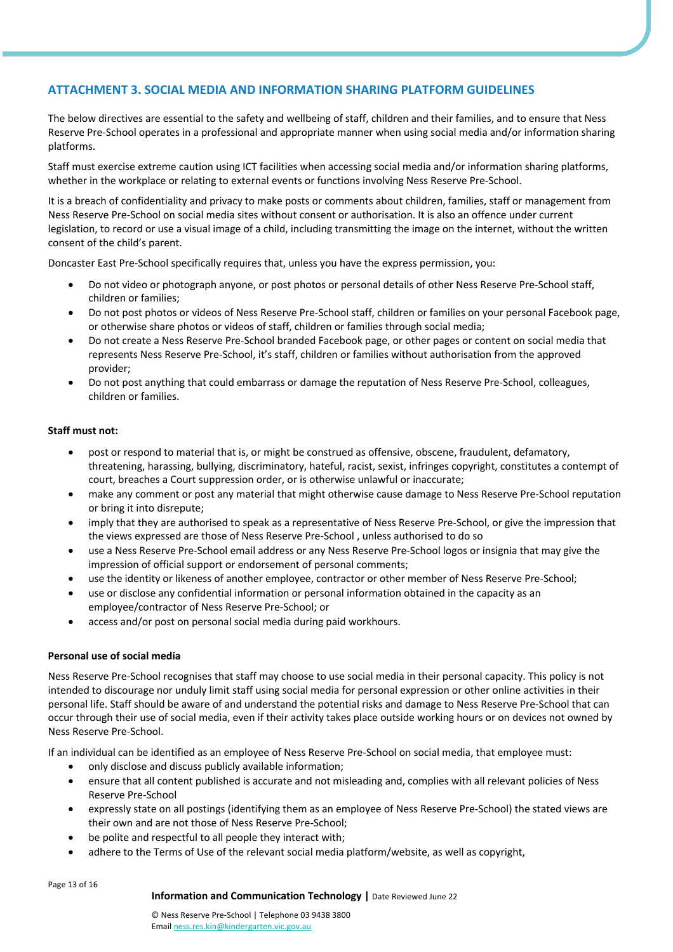# **ATTACHMENT 3. SOCIAL MEDIA AND INFORMATION SHARING PLATFORM GUIDELINES**

The below directives are essential to the safety and wellbeing of staff, children and their families, and to ensure that Ness Reserve Pre-School operates in a professional and appropriate manner when using social media and/or information sharing platforms.

Staff must exercise extreme caution using ICT facilities when accessing social media and/or information sharing platforms, whether in the workplace or relating to external events or functions involving Ness Reserve Pre-School.

It is a breach of confidentiality and privacy to make posts or comments about children, families, staff or management from Ness Reserve Pre-School on social media sites without consent or authorisation. It is also an offence under current legislation, to record or use a visual image of a child, including transmitting the image on the internet, without the written consent of the child's parent.

Doncaster East Pre-School specifically requires that, unless you have the express permission, you:

- Do not video or photograph anyone, or post photos or personal details of other Ness Reserve Pre-School staff, children or families;
- Do not post photos or videos of Ness Reserve Pre-School staff, children or families on your personal Facebook page, or otherwise share photos or videos of staff, children or families through social media;
- Do not create a Ness Reserve Pre-School branded Facebook page, or other pages or content on social media that represents Ness Reserve Pre-School, it's staff, children or families without authorisation from the approved provider;
- Do not post anything that could embarrass or damage the reputation of Ness Reserve Pre-School, colleagues, children or families.

# **Staff must not:**

- post or respond to material that is, or might be construed as offensive, obscene, fraudulent, defamatory, threatening, harassing, bullying, discriminatory, hateful, racist, sexist, infringes copyright, constitutes a contempt of court, breaches a Court suppression order, or is otherwise unlawful or inaccurate;
- make any comment or post any material that might otherwise cause damage to Ness Reserve Pre-School reputation or bring it into disrepute;
- imply that they are authorised to speak as a representative of Ness Reserve Pre-School, or give the impression that the views expressed are those of Ness Reserve Pre-School , unless authorised to do so
- use a Ness Reserve Pre-School email address or any Ness Reserve Pre-School logos or insignia that may give the impression of official support or endorsement of personal comments;
- use the identity or likeness of another employee, contractor or other member of Ness Reserve Pre-School;
- use or disclose any confidential information or personal information obtained in the capacity as an employee/contractor of Ness Reserve Pre-School; or
- access and/or post on personal social media during paid workhours.

## **Personal use of social media**

Ness Reserve Pre-School recognises that staff may choose to use social media in their personal capacity. This policy is not intended to discourage nor unduly limit staff using social media for personal expression or other online activities in their personal life. Staff should be aware of and understand the potential risks and damage to Ness Reserve Pre-School that can occur through their use of social media, even if their activity takes place outside working hours or on devices not owned by Ness Reserve Pre-School.

If an individual can be identified as an employee of Ness Reserve Pre-School on social media, that employee must:

- only disclose and discuss publicly available information;
- ensure that all content published is accurate and not misleading and, complies with all relevant policies of Ness Reserve Pre-School
- expressly state on all postings (identifying them as an employee of Ness Reserve Pre-School) the stated views are their own and are not those of Ness Reserve Pre-School;
- be polite and respectful to all people they interact with:
- adhere to the Terms of Use of the relevant social media platform/website, as well as copyright,

Page 13 of 16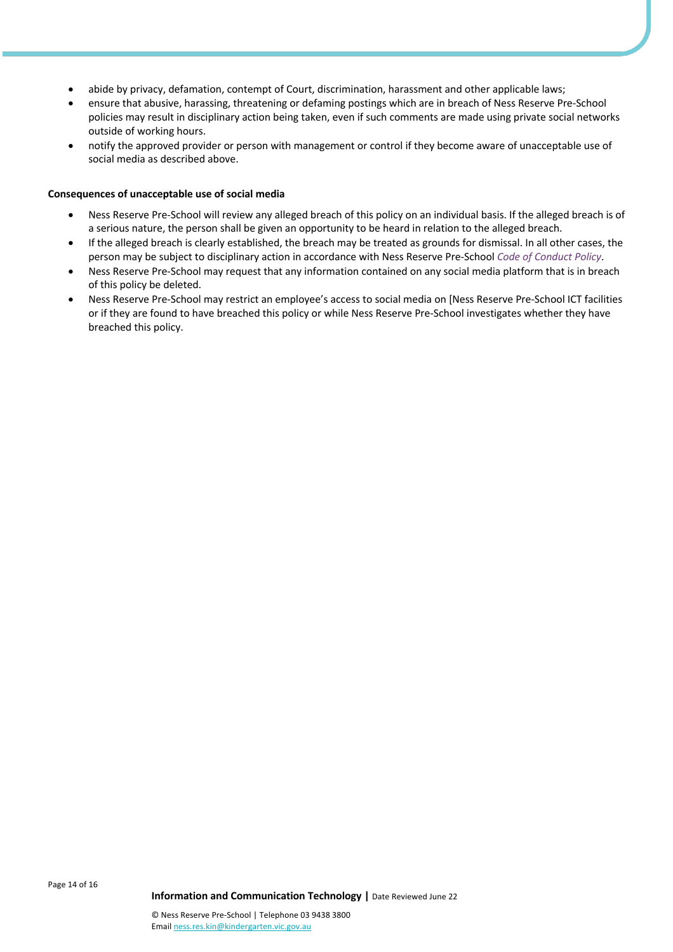- abide by privacy, defamation, contempt of Court, discrimination, harassment and other applicable laws;
- ensure that abusive, harassing, threatening or defaming postings which are in breach of Ness Reserve Pre-School policies may result in disciplinary action being taken, even if such comments are made using private social networks outside of working hours.
- notify the approved provider or person with management or control if they become aware of unacceptable use of social media as described above.

#### **Consequences of unacceptable use of social media**

- Ness Reserve Pre-School will review any alleged breach of this policy on an individual basis. If the alleged breach is of a serious nature, the person shall be given an opportunity to be heard in relation to the alleged breach.
- If the alleged breach is clearly established, the breach may be treated as grounds for dismissal. In all other cases, the person may be subject to disciplinary action in accordance with Ness Reserve Pre-School *Code of Conduct Policy*.
- Ness Reserve Pre-School may request that any information contained on any social media platform that is in breach of this policy be deleted.
- Ness Reserve Pre-School may restrict an employee's access to social media on [Ness Reserve Pre-School ICT facilities or if they are found to have breached this policy or while Ness Reserve Pre-School investigates whether they have breached this policy.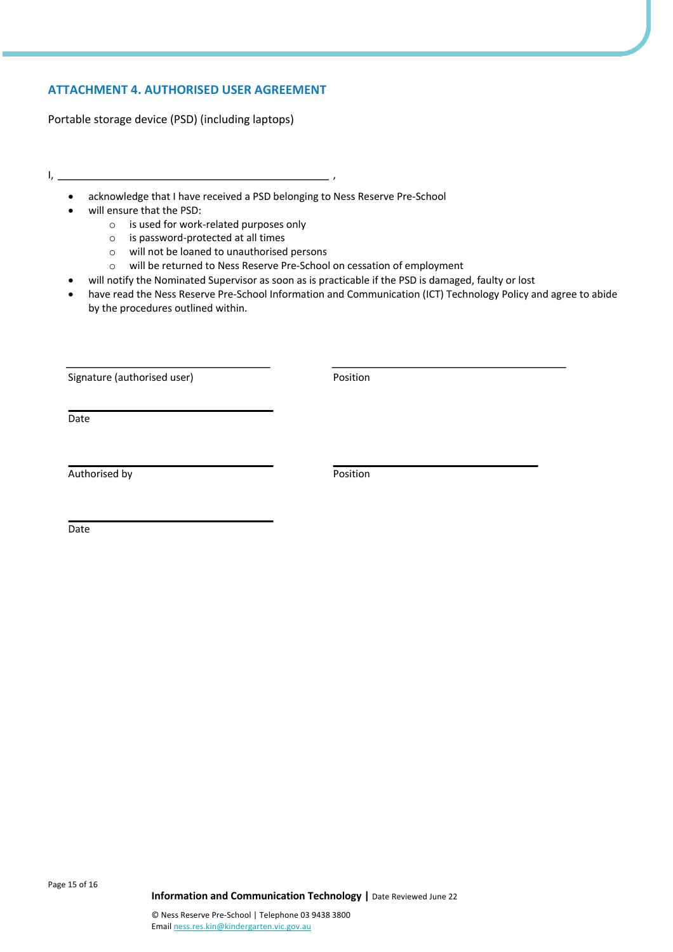# **ATTACHMENT 4. AUTHORISED USER AGREEMENT**

Portable storage device (PSD) (including laptops)

- I, ,
	- acknowledge that I have received a PSD belonging to Ness Reserve Pre-School
	- will ensure that the PSD:
		- o is used for work-related purposes only
		- o is password-protected at all times
		- o will not be loaned to unauthorised persons
		- o will be returned to Ness Reserve Pre-School on cessation of employment
	- will notify the Nominated Supervisor as soon as is practicable if the PSD is damaged, faulty or lost
	- have read the Ness Reserve Pre-School Information and Communication (ICT) Technology Policy and agree to abide by the procedures outlined within.

Signature (authorised user) example a position of the Position

Date

Authorised by Position

Date